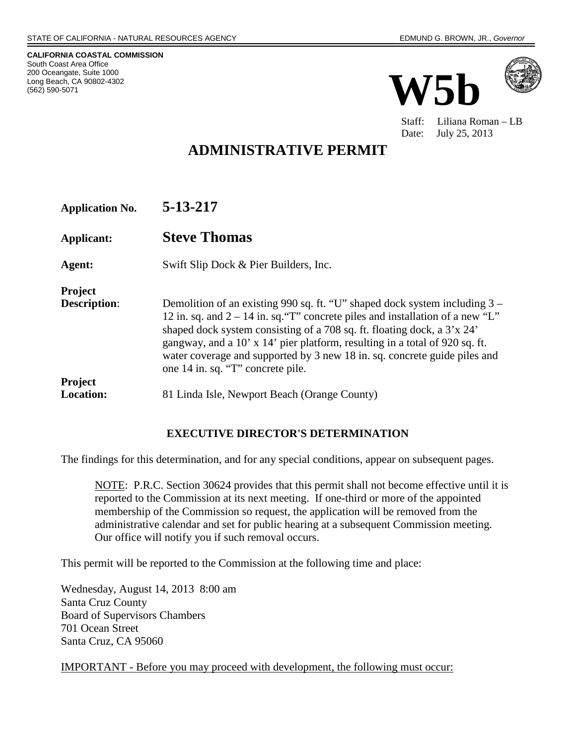**CALIFORNIA COASTAL COMMISSION** South Coast Area Office 200 Oceangate, Suite 1000 Long Beach, CA 90802-4302 (562) 590-5071





Staff: Liliana Roman – LB Date: July 25, 2013

# **ADMINISTRATIVE PERMIT**

| <b>Application No.</b> | 5-13-217 |
|------------------------|----------|
|------------------------|----------|

**Applicant: Steve Thomas**

**Agent:** Swift Slip Dock & Pier Builders, Inc.

**Project Description:** Demolition of an existing 990 sq. ft. "U" shaped dock system including 3 – 12 in. sq. and  $2 - 14$  in. sq. "T" concrete piles and installation of a new "L" shaped dock system consisting of a 708 sq. ft. floating dock, a 3'x 24' gangway, and a 10' x 14' pier platform, resulting in a total of 920 sq. ft. water coverage and supported by 3 new 18 in. sq. concrete guide piles and one 14 in. sq. "T" concrete pile. **Project**  81 Linda Isle, Newport Beach (Orange County)

#### **EXECUTIVE DIRECTOR'S DETERMINATION**

The findings for this determination, and for any special conditions, appear on subsequent pages.

NOTE: P.R.C. Section 30624 provides that this permit shall not become effective until it is reported to the Commission at its next meeting. If one-third or more of the appointed membership of the Commission so request, the application will be removed from the administrative calendar and set for public hearing at a subsequent Commission meeting. Our office will notify you if such removal occurs.

This permit will be reported to the Commission at the following time and place:

Wednesday, August 14, 2013 8:00 am Santa Cruz County Board of Supervisors Chambers 701 Ocean Street Santa Cruz, CA 95060

IMPORTANT - Before you may proceed with development, the following must occur: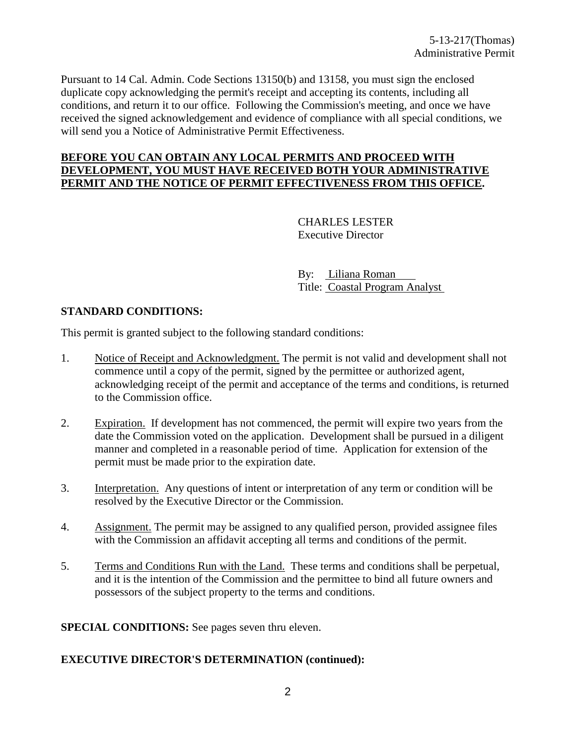Pursuant to 14 Cal. Admin. Code Sections 13150(b) and 13158, you must sign the enclosed duplicate copy acknowledging the permit's receipt and accepting its contents, including all conditions, and return it to our office. Following the Commission's meeting, and once we have received the signed acknowledgement and evidence of compliance with all special conditions, we will send you a Notice of Administrative Permit Effectiveness.

#### **BEFORE YOU CAN OBTAIN ANY LOCAL PERMITS AND PROCEED WITH DEVELOPMENT, YOU MUST HAVE RECEIVED BOTH YOUR ADMINISTRATIVE PERMIT AND THE NOTICE OF PERMIT EFFECTIVENESS FROM THIS OFFICE.**

CHARLES LESTER Executive Director

By: Liliana Roman Title: Coastal Program Analyst

#### **STANDARD CONDITIONS:**

This permit is granted subject to the following standard conditions:

- 1. Notice of Receipt and Acknowledgment. The permit is not valid and development shall not commence until a copy of the permit, signed by the permittee or authorized agent, acknowledging receipt of the permit and acceptance of the terms and conditions, is returned to the Commission office.
- 2. Expiration. If development has not commenced, the permit will expire two years from the date the Commission voted on the application. Development shall be pursued in a diligent manner and completed in a reasonable period of time. Application for extension of the permit must be made prior to the expiration date.
- 3. Interpretation. Any questions of intent or interpretation of any term or condition will be resolved by the Executive Director or the Commission.
- 4. Assignment. The permit may be assigned to any qualified person, provided assignee files with the Commission an affidavit accepting all terms and conditions of the permit.
- 5. Terms and Conditions Run with the Land. These terms and conditions shall be perpetual, and it is the intention of the Commission and the permittee to bind all future owners and possessors of the subject property to the terms and conditions.

**SPECIAL CONDITIONS:** See pages seven thru eleven.

#### **EXECUTIVE DIRECTOR'S DETERMINATION (continued):**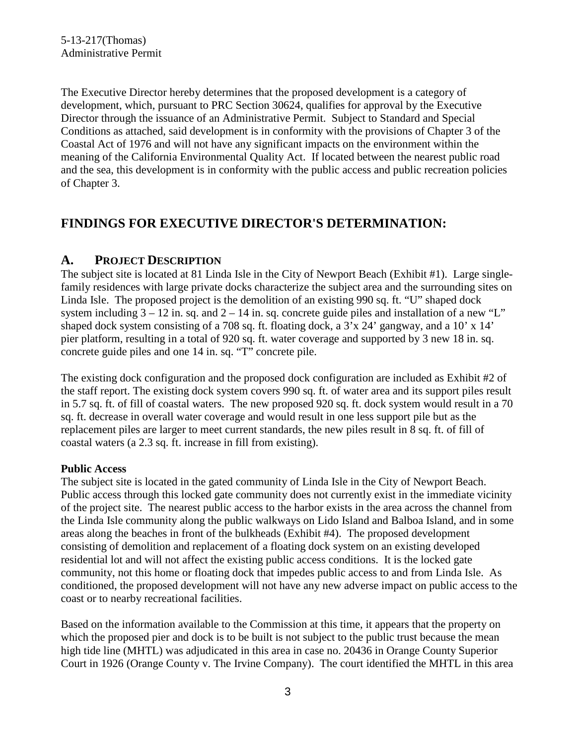The Executive Director hereby determines that the proposed development is a category of development, which, pursuant to PRC Section 30624, qualifies for approval by the Executive Director through the issuance of an Administrative Permit. Subject to Standard and Special Conditions as attached, said development is in conformity with the provisions of Chapter 3 of the Coastal Act of 1976 and will not have any significant impacts on the environment within the meaning of the California Environmental Quality Act. If located between the nearest public road and the sea, this development is in conformity with the public access and public recreation policies of Chapter 3.

# **FINDINGS FOR EXECUTIVE DIRECTOR'S DETERMINATION:**

# **A. PROJECT DESCRIPTION**

The subject site is located at 81 Linda Isle in the City of Newport Beach (Exhibit #1). Large singlefamily residences with large private docks characterize the subject area and the surrounding sites on Linda Isle. The proposed project is the demolition of an existing 990 sq. ft. "U" shaped dock system including  $3 - 12$  in. sq. and  $2 - 14$  in. sq. concrete guide piles and installation of a new "L" shaped dock system consisting of a 708 sq. ft. floating dock, a 3'x 24' gangway, and a 10' x 14' pier platform, resulting in a total of 920 sq. ft. water coverage and supported by 3 new 18 in. sq. concrete guide piles and one 14 in. sq. "T" concrete pile.

The existing dock configuration and the proposed dock configuration are included as Exhibit #2 of the staff report. The existing dock system covers 990 sq. ft. of water area and its support piles result in 5.7 sq. ft. of fill of coastal waters. The new proposed 920 sq. ft. dock system would result in a 70 sq. ft. decrease in overall water coverage and would result in one less support pile but as the replacement piles are larger to meet current standards, the new piles result in 8 sq. ft. of fill of coastal waters (a 2.3 sq. ft. increase in fill from existing).

#### **Public Access**

The subject site is located in the gated community of Linda Isle in the City of Newport Beach. Public access through this locked gate community does not currently exist in the immediate vicinity of the project site. The nearest public access to the harbor exists in the area across the channel from the Linda Isle community along the public walkways on Lido Island and Balboa Island, and in some areas along the beaches in front of the bulkheads (Exhibit #4). The proposed development consisting of demolition and replacement of a floating dock system on an existing developed residential lot and will not affect the existing public access conditions. It is the locked gate community, not this home or floating dock that impedes public access to and from Linda Isle. As conditioned, the proposed development will not have any new adverse impact on public access to the coast or to nearby recreational facilities.

Based on the information available to the Commission at this time, it appears that the property on which the proposed pier and dock is to be built is not subject to the public trust because the mean high tide line (MHTL) was adjudicated in this area in case no. 20436 in Orange County Superior Court in 1926 (Orange County v. The Irvine Company). The court identified the MHTL in this area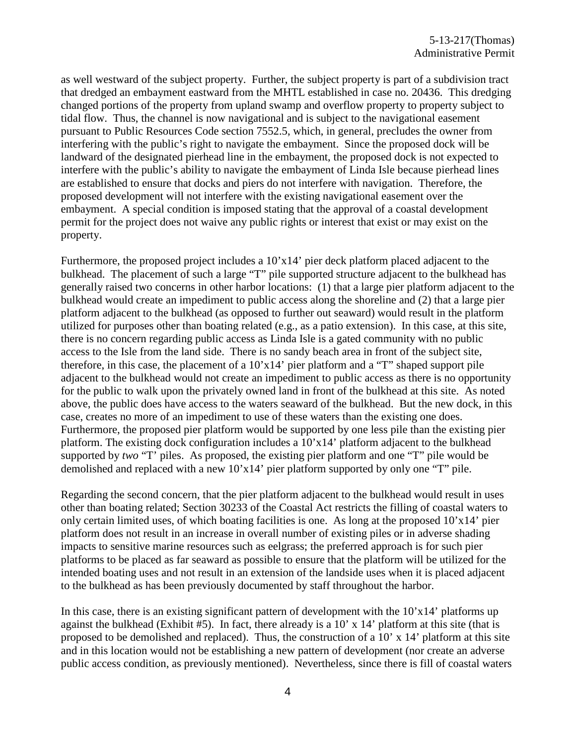as well westward of the subject property. Further, the subject property is part of a subdivision tract that dredged an embayment eastward from the MHTL established in case no. 20436. This dredging changed portions of the property from upland swamp and overflow property to property subject to tidal flow. Thus, the channel is now navigational and is subject to the navigational easement pursuant to Public Resources Code section 7552.5, which, in general, precludes the owner from interfering with the public's right to navigate the embayment. Since the proposed dock will be landward of the designated pierhead line in the embayment, the proposed dock is not expected to interfere with the public's ability to navigate the embayment of Linda Isle because pierhead lines are established to ensure that docks and piers do not interfere with navigation. Therefore, the proposed development will not interfere with the existing navigational easement over the embayment. A special condition is imposed stating that the approval of a coastal development permit for the project does not waive any public rights or interest that exist or may exist on the property.

Furthermore, the proposed project includes a 10'x14' pier deck platform placed adjacent to the bulkhead. The placement of such a large "T" pile supported structure adjacent to the bulkhead has generally raised two concerns in other harbor locations: (1) that a large pier platform adjacent to the bulkhead would create an impediment to public access along the shoreline and (2) that a large pier platform adjacent to the bulkhead (as opposed to further out seaward) would result in the platform utilized for purposes other than boating related (e.g., as a patio extension). In this case, at this site, there is no concern regarding public access as Linda Isle is a gated community with no public access to the Isle from the land side. There is no sandy beach area in front of the subject site, therefore, in this case, the placement of a  $10'x14'$  pier platform and a "T" shaped support pile adjacent to the bulkhead would not create an impediment to public access as there is no opportunity for the public to walk upon the privately owned land in front of the bulkhead at this site. As noted above, the public does have access to the waters seaward of the bulkhead. But the new dock, in this case, creates no more of an impediment to use of these waters than the existing one does. Furthermore, the proposed pier platform would be supported by one less pile than the existing pier platform. The existing dock configuration includes a 10'x14' platform adjacent to the bulkhead supported by *two* "T' piles. As proposed, the existing pier platform and one "T" pile would be demolished and replaced with a new 10'x14' pier platform supported by only one "T" pile.

Regarding the second concern, that the pier platform adjacent to the bulkhead would result in uses other than boating related; Section 30233 of the Coastal Act restricts the filling of coastal waters to only certain limited uses, of which boating facilities is one. As long at the proposed 10'x14' pier platform does not result in an increase in overall number of existing piles or in adverse shading impacts to sensitive marine resources such as eelgrass; the preferred approach is for such pier platforms to be placed as far seaward as possible to ensure that the platform will be utilized for the intended boating uses and not result in an extension of the landside uses when it is placed adjacent to the bulkhead as has been previously documented by staff throughout the harbor.

In this case, there is an existing significant pattern of development with the  $10'x14'$  platforms up against the bulkhead (Exhibit #5). In fact, there already is a 10' x 14' platform at this site (that is proposed to be demolished and replaced). Thus, the construction of a  $10'$  x  $14'$  platform at this site and in this location would not be establishing a new pattern of development (nor create an adverse public access condition, as previously mentioned). Nevertheless, since there is fill of coastal waters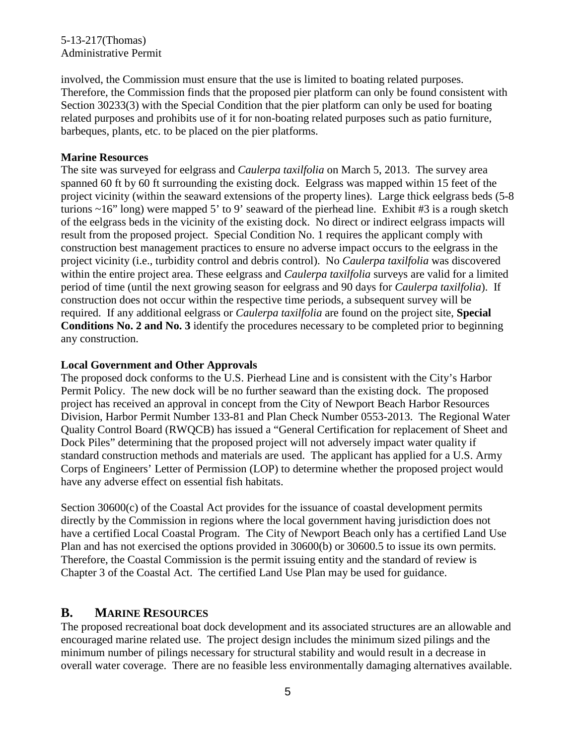#### 5-13-217(Thomas) Administrative Permit

involved, the Commission must ensure that the use is limited to boating related purposes. Therefore, the Commission finds that the proposed pier platform can only be found consistent with Section 30233(3) with the Special Condition that the pier platform can only be used for boating related purposes and prohibits use of it for non-boating related purposes such as patio furniture, barbeques, plants, etc. to be placed on the pier platforms.

#### **Marine Resources**

The site was surveyed for eelgrass and *Caulerpa taxilfolia* on March 5, 2013. The survey area spanned 60 ft by 60 ft surrounding the existing dock. Eelgrass was mapped within 15 feet of the project vicinity (within the seaward extensions of the property lines). Large thick eelgrass beds (5-8 turions  $\sim$ 16" long) were mapped 5' to 9' seaward of the pierhead line. Exhibit #3 is a rough sketch of the eelgrass beds in the vicinity of the existing dock. No direct or indirect eelgrass impacts will result from the proposed project. Special Condition No. 1 requires the applicant comply with construction best management practices to ensure no adverse impact occurs to the eelgrass in the project vicinity (i.e., turbidity control and debris control). No *Caulerpa taxilfolia* was discovered within the entire project area. These eelgrass and *Caulerpa taxilfolia* surveys are valid for a limited period of time (until the next growing season for eelgrass and 90 days for *Caulerpa taxilfolia*). If construction does not occur within the respective time periods, a subsequent survey will be required. If any additional eelgrass or *Caulerpa taxilfolia* are found on the project site, **Special Conditions No. 2 and No. 3** identify the procedures necessary to be completed prior to beginning any construction.

#### **Local Government and Other Approvals**

The proposed dock conforms to the U.S. Pierhead Line and is consistent with the City's Harbor Permit Policy. The new dock will be no further seaward than the existing dock. The proposed project has received an approval in concept from the City of Newport Beach Harbor Resources Division, Harbor Permit Number 133-81 and Plan Check Number 0553-2013. The Regional Water Quality Control Board (RWQCB) has issued a "General Certification for replacement of Sheet and Dock Piles" determining that the proposed project will not adversely impact water quality if standard construction methods and materials are used. The applicant has applied for a U.S. Army Corps of Engineers' Letter of Permission (LOP) to determine whether the proposed project would have any adverse effect on essential fish habitats.

Section 30600(c) of the Coastal Act provides for the issuance of coastal development permits directly by the Commission in regions where the local government having jurisdiction does not have a certified Local Coastal Program. The City of Newport Beach only has a certified Land Use Plan and has not exercised the options provided in 30600(b) or 30600.5 to issue its own permits. Therefore, the Coastal Commission is the permit issuing entity and the standard of review is Chapter 3 of the Coastal Act. The certified Land Use Plan may be used for guidance.

### **B. MARINE RESOURCES**

The proposed recreational boat dock development and its associated structures are an allowable and encouraged marine related use. The project design includes the minimum sized pilings and the minimum number of pilings necessary for structural stability and would result in a decrease in overall water coverage. There are no feasible less environmentally damaging alternatives available.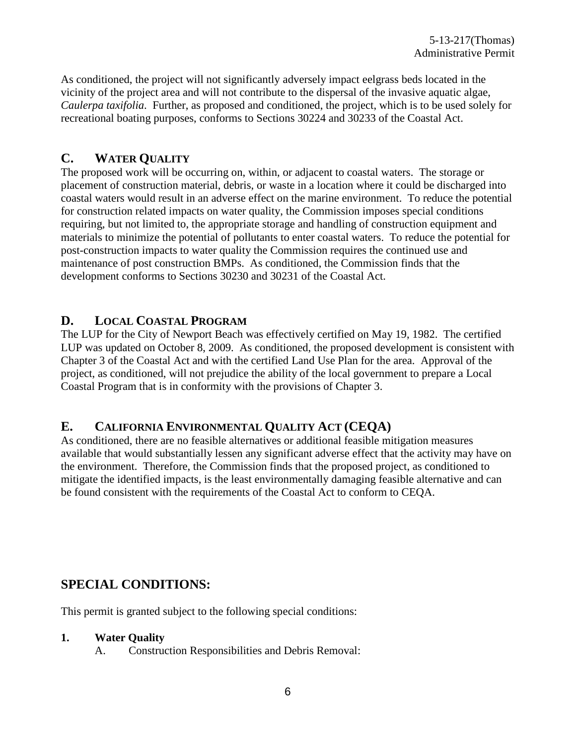As conditioned, the project will not significantly adversely impact eelgrass beds located in the vicinity of the project area and will not contribute to the dispersal of the invasive aquatic algae, *Caulerpa taxifolia*. Further, as proposed and conditioned, the project, which is to be used solely for recreational boating purposes, conforms to Sections 30224 and 30233 of the Coastal Act.

### **C. WATER QUALITY**

The proposed work will be occurring on, within, or adjacent to coastal waters. The storage or placement of construction material, debris, or waste in a location where it could be discharged into coastal waters would result in an adverse effect on the marine environment. To reduce the potential for construction related impacts on water quality, the Commission imposes special conditions requiring, but not limited to, the appropriate storage and handling of construction equipment and materials to minimize the potential of pollutants to enter coastal waters. To reduce the potential for post-construction impacts to water quality the Commission requires the continued use and maintenance of post construction BMPs. As conditioned, the Commission finds that the development conforms to Sections 30230 and 30231 of the Coastal Act.

### **D. LOCAL COASTAL PROGRAM**

The LUP for the City of Newport Beach was effectively certified on May 19, 1982. The certified LUP was updated on October 8, 2009. As conditioned, the proposed development is consistent with Chapter 3 of the Coastal Act and with the certified Land Use Plan for the area. Approval of the project, as conditioned, will not prejudice the ability of the local government to prepare a Local Coastal Program that is in conformity with the provisions of Chapter 3.

# **E. CALIFORNIA ENVIRONMENTAL QUALITY ACT (CEQA)**

As conditioned, there are no feasible alternatives or additional feasible mitigation measures available that would substantially lessen any significant adverse effect that the activity may have on the environment. Therefore, the Commission finds that the proposed project, as conditioned to mitigate the identified impacts, is the least environmentally damaging feasible alternative and can be found consistent with the requirements of the Coastal Act to conform to CEQA.

# **SPECIAL CONDITIONS:**

This permit is granted subject to the following special conditions:

#### **1. Water Quality**

A. Construction Responsibilities and Debris Removal: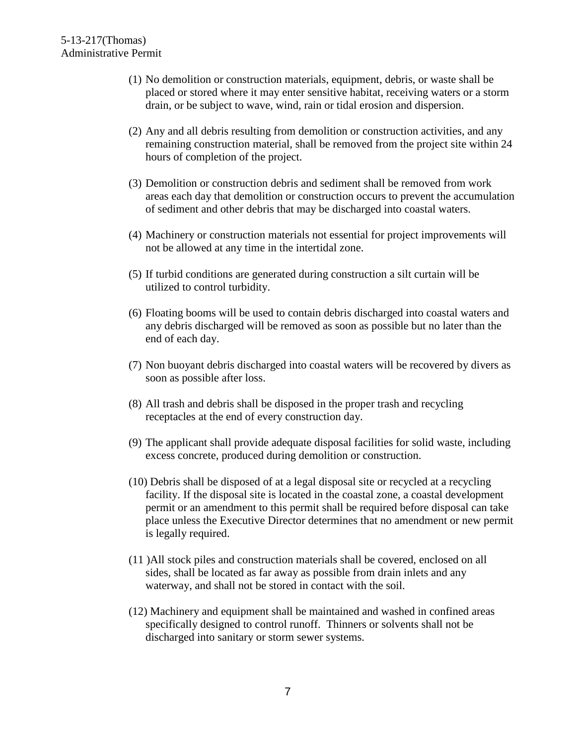- (1) No demolition or construction materials, equipment, debris, or waste shall be placed or stored where it may enter sensitive habitat, receiving waters or a storm drain, or be subject to wave, wind, rain or tidal erosion and dispersion.
- (2) Any and all debris resulting from demolition or construction activities, and any remaining construction material, shall be removed from the project site within 24 hours of completion of the project.
- (3) Demolition or construction debris and sediment shall be removed from work areas each day that demolition or construction occurs to prevent the accumulation of sediment and other debris that may be discharged into coastal waters.
- (4) Machinery or construction materials not essential for project improvements will not be allowed at any time in the intertidal zone.
- (5) If turbid conditions are generated during construction a silt curtain will be utilized to control turbidity.
- (6) Floating booms will be used to contain debris discharged into coastal waters and any debris discharged will be removed as soon as possible but no later than the end of each day.
- (7) Non buoyant debris discharged into coastal waters will be recovered by divers as soon as possible after loss.
- (8) All trash and debris shall be disposed in the proper trash and recycling receptacles at the end of every construction day.
- (9) The applicant shall provide adequate disposal facilities for solid waste, including excess concrete, produced during demolition or construction.
- (10) Debris shall be disposed of at a legal disposal site or recycled at a recycling facility. If the disposal site is located in the coastal zone, a coastal development permit or an amendment to this permit shall be required before disposal can take place unless the Executive Director determines that no amendment or new permit is legally required.
- (11 )All stock piles and construction materials shall be covered, enclosed on all sides, shall be located as far away as possible from drain inlets and any waterway, and shall not be stored in contact with the soil.
- (12) Machinery and equipment shall be maintained and washed in confined areas specifically designed to control runoff. Thinners or solvents shall not be discharged into sanitary or storm sewer systems.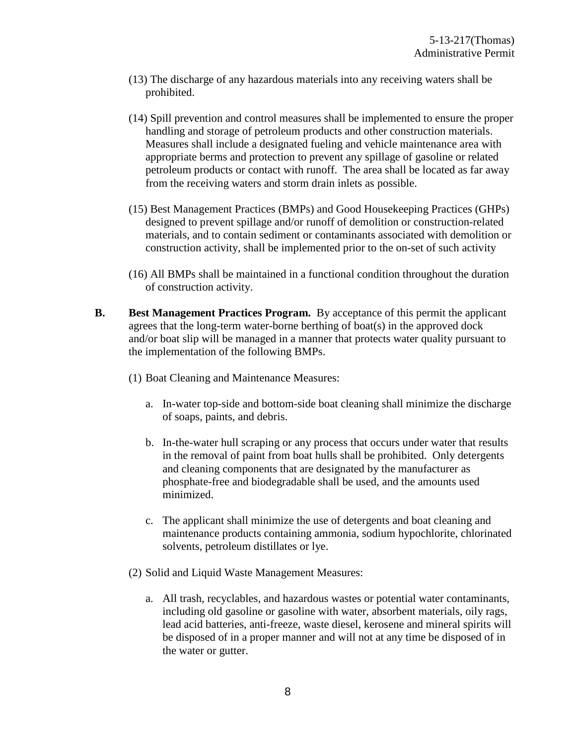- (13) The discharge of any hazardous materials into any receiving waters shall be prohibited.
- (14) Spill prevention and control measures shall be implemented to ensure the proper handling and storage of petroleum products and other construction materials. Measures shall include a designated fueling and vehicle maintenance area with appropriate berms and protection to prevent any spillage of gasoline or related petroleum products or contact with runoff. The area shall be located as far away from the receiving waters and storm drain inlets as possible.
- (15) Best Management Practices (BMPs) and Good Housekeeping Practices (GHPs) designed to prevent spillage and/or runoff of demolition or construction-related materials, and to contain sediment or contaminants associated with demolition or construction activity, shall be implemented prior to the on-set of such activity
- (16) All BMPs shall be maintained in a functional condition throughout the duration of construction activity.
- **B. Best Management Practices Program.** By acceptance of this permit the applicant agrees that the long-term water-borne berthing of boat(s) in the approved dock and/or boat slip will be managed in a manner that protects water quality pursuant to the implementation of the following BMPs.
	- (1) Boat Cleaning and Maintenance Measures:
		- a. In-water top-side and bottom-side boat cleaning shall minimize the discharge of soaps, paints, and debris.
		- b. In-the-water hull scraping or any process that occurs under water that results in the removal of paint from boat hulls shall be prohibited. Only detergents and cleaning components that are designated by the manufacturer as phosphate-free and biodegradable shall be used, and the amounts used minimized.
		- c. The applicant shall minimize the use of detergents and boat cleaning and maintenance products containing ammonia, sodium hypochlorite, chlorinated solvents, petroleum distillates or lye.
	- (2) Solid and Liquid Waste Management Measures:
		- a. All trash, recyclables, and hazardous wastes or potential water contaminants, including old gasoline or gasoline with water, absorbent materials, oily rags, lead acid batteries, anti-freeze, waste diesel, kerosene and mineral spirits will be disposed of in a proper manner and will not at any time be disposed of in the water or gutter.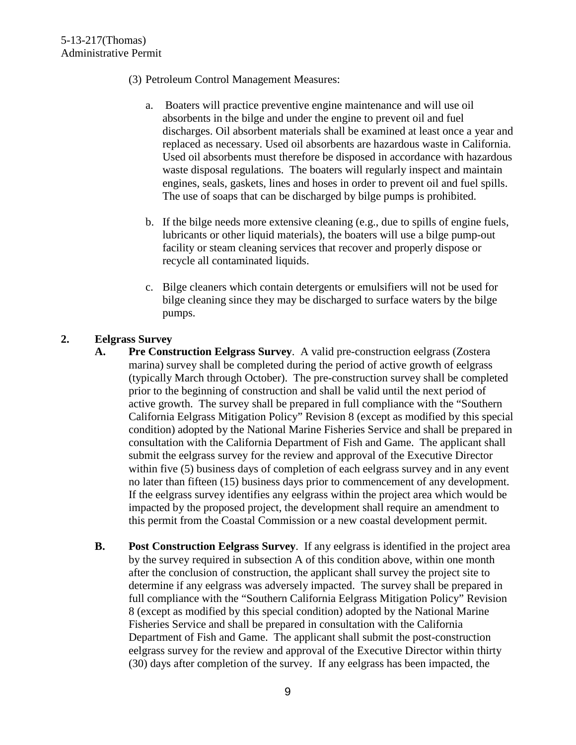- (3) Petroleum Control Management Measures:
	- a. Boaters will practice preventive engine maintenance and will use oil absorbents in the bilge and under the engine to prevent oil and fuel discharges. Oil absorbent materials shall be examined at least once a year and replaced as necessary. Used oil absorbents are hazardous waste in California. Used oil absorbents must therefore be disposed in accordance with hazardous waste disposal regulations. The boaters will regularly inspect and maintain engines, seals, gaskets, lines and hoses in order to prevent oil and fuel spills. The use of soaps that can be discharged by bilge pumps is prohibited.
	- b. If the bilge needs more extensive cleaning (e.g., due to spills of engine fuels, lubricants or other liquid materials), the boaters will use a bilge pump-out facility or steam cleaning services that recover and properly dispose or recycle all contaminated liquids.
	- c. Bilge cleaners which contain detergents or emulsifiers will not be used for bilge cleaning since they may be discharged to surface waters by the bilge pumps.

#### **2. Eelgrass Survey**

- **A. Pre Construction Eelgrass Survey**. A valid pre-construction eelgrass (Zostera marina) survey shall be completed during the period of active growth of eelgrass (typically March through October). The pre-construction survey shall be completed prior to the beginning of construction and shall be valid until the next period of active growth. The survey shall be prepared in full compliance with the "Southern California Eelgrass Mitigation Policy" Revision 8 (except as modified by this special condition) adopted by the National Marine Fisheries Service and shall be prepared in consultation with the California Department of Fish and Game. The applicant shall submit the eelgrass survey for the review and approval of the Executive Director within five (5) business days of completion of each eelgrass survey and in any event no later than fifteen (15) business days prior to commencement of any development. If the eelgrass survey identifies any eelgrass within the project area which would be impacted by the proposed project, the development shall require an amendment to this permit from the Coastal Commission or a new coastal development permit.
- **B. Post Construction Eelgrass Survey**. If any eelgrass is identified in the project area by the survey required in subsection A of this condition above, within one month after the conclusion of construction, the applicant shall survey the project site to determine if any eelgrass was adversely impacted. The survey shall be prepared in full compliance with the "Southern California Eelgrass Mitigation Policy" Revision 8 (except as modified by this special condition) adopted by the National Marine Fisheries Service and shall be prepared in consultation with the California Department of Fish and Game. The applicant shall submit the post-construction eelgrass survey for the review and approval of the Executive Director within thirty (30) days after completion of the survey. If any eelgrass has been impacted, the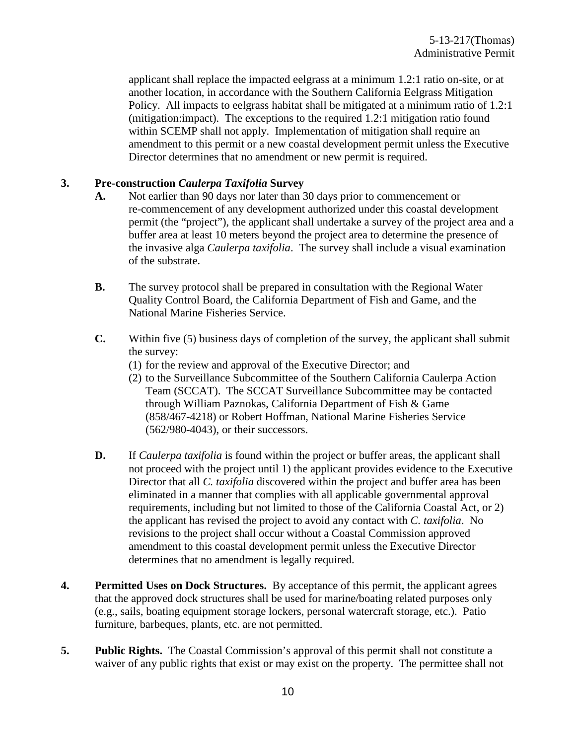applicant shall replace the impacted eelgrass at a minimum 1.2:1 ratio on-site, or at another location, in accordance with the Southern California Eelgrass Mitigation Policy. All impacts to eelgrass habitat shall be mitigated at a minimum ratio of 1.2:1 (mitigation:impact). The exceptions to the required 1.2:1 mitigation ratio found within SCEMP shall not apply. Implementation of mitigation shall require an amendment to this permit or a new coastal development permit unless the Executive Director determines that no amendment or new permit is required.

#### **3. Pre-construction** *Caulerpa Taxifolia* **Survey**

- **A.** Not earlier than 90 days nor later than 30 days prior to commencement or re-commencement of any development authorized under this coastal development permit (the "project"), the applicant shall undertake a survey of the project area and a buffer area at least 10 meters beyond the project area to determine the presence of the invasive alga *Caulerpa taxifolia*. The survey shall include a visual examination of the substrate.
- **B.** The survey protocol shall be prepared in consultation with the Regional Water Quality Control Board, the California Department of Fish and Game, and the National Marine Fisheries Service.
- **C.** Within five (5) business days of completion of the survey, the applicant shall submit the survey:
	- (1) for the review and approval of the Executive Director; and
	- (2) to the Surveillance Subcommittee of the Southern California Caulerpa Action Team (SCCAT). The SCCAT Surveillance Subcommittee may be contacted through William Paznokas, California Department of Fish & Game (858/467-4218) or Robert Hoffman, National Marine Fisheries Service (562/980-4043), or their successors.
- **D.** If *Caulerpa taxifolia* is found within the project or buffer areas, the applicant shall not proceed with the project until 1) the applicant provides evidence to the Executive Director that all *C. taxifolia* discovered within the project and buffer area has been eliminated in a manner that complies with all applicable governmental approval requirements, including but not limited to those of the California Coastal Act, or 2) the applicant has revised the project to avoid any contact with *C. taxifolia*. No revisions to the project shall occur without a Coastal Commission approved amendment to this coastal development permit unless the Executive Director determines that no amendment is legally required.
- **4. Permitted Uses on Dock Structures.** By acceptance of this permit, the applicant agrees that the approved dock structures shall be used for marine/boating related purposes only (e.g., sails, boating equipment storage lockers, personal watercraft storage, etc.). Patio furniture, barbeques, plants, etc. are not permitted.
- **5. Public Rights.** The Coastal Commission's approval of this permit shall not constitute a waiver of any public rights that exist or may exist on the property. The permittee shall not